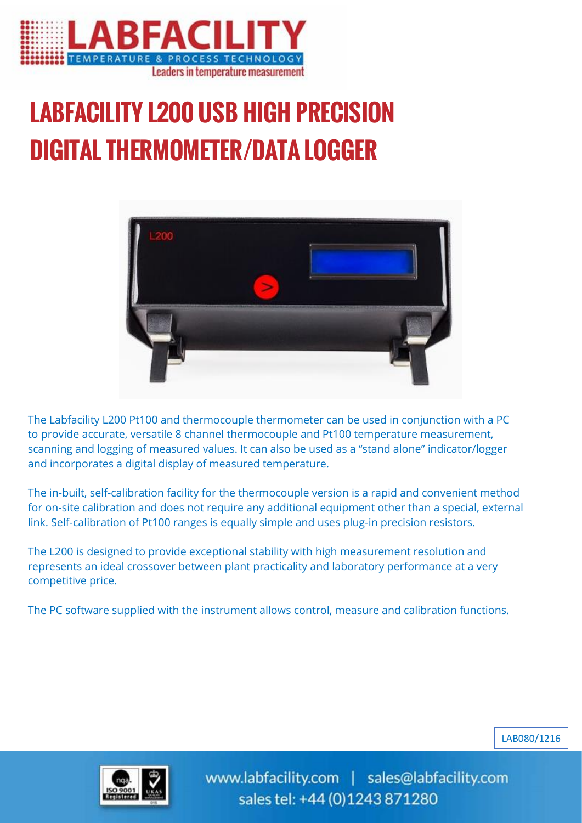

## LABFACILITY L200 USB HIGH PRECISION DIGITAL THERMOMETER/DATA LOGGER



The Labfacility L200 Pt100 and thermocouple thermometer can be used in conjunction with a PC to provide accurate, versatile 8 channel thermocouple and Pt100 temperature measurement, scanning and logging of measured values. It can also be used as a "stand alone" indicator/logger and incorporates a digital display of measured temperature.

The in-built, self-calibration facility for the thermocouple version is a rapid and convenient method for on-site calibration and does not require any additional equipment other than a special, external link. Self-calibration of Pt100 ranges is equally simple and uses plug-in precision resistors.

The L200 is designed to provide exceptional stability with high measurement resolution and represents an ideal crossover between plant practicality and laboratory performance at a very competitive price.

The PC software supplied with the instrument allows control, measure and calibration functions.





www.labfacility.com | sales@labfacility.com sales tel: +44 (0)1243 871280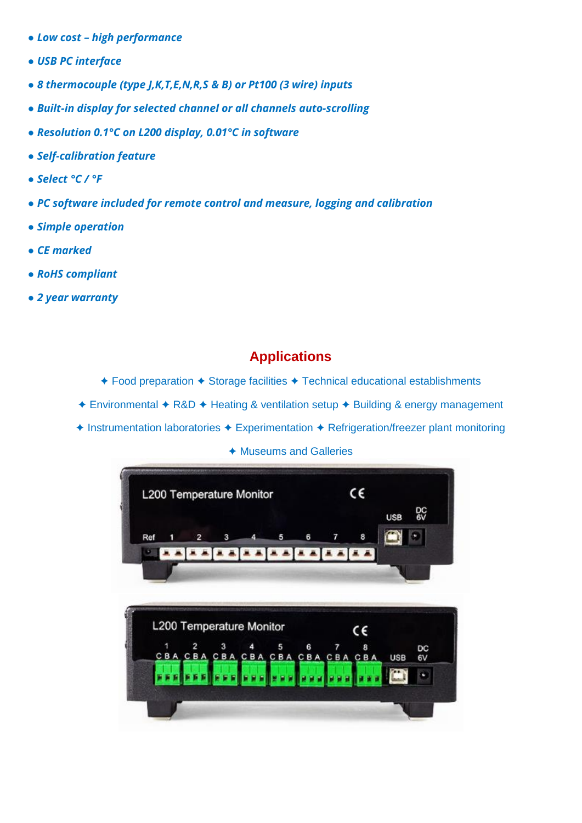- *● Low cost – high performance*
- *● USB PC interface*
- *● 8 thermocouple (type J,K,T,E,N,R,S & B) or Pt100 (3 wire) inputs*
- *● Built-in display for selected channel or all channels auto-scrolling*
- *● Resolution 0.1°C on L200 display, 0.01°C in software*
- *● Self-calibration feature*
- *● Select °C / °F*
- *● PC software included for remote control and measure, logging and calibration*
- *● Simple operation*
- *● CE marked*
- *● RoHS compliant*
- *● 2 year warranty*

## **Applications**

- ✦ Food preparation ✦ Storage facilities ✦ Technical educational establishments
- ✦ Environmental ✦ R&D ✦ Heating & ventilation setup ✦ Building & energy management
- ✦ Instrumentation laboratories ✦ Experimentation ✦ Refrigeration/freezer plant monitoring

✦ Museums and Galleries

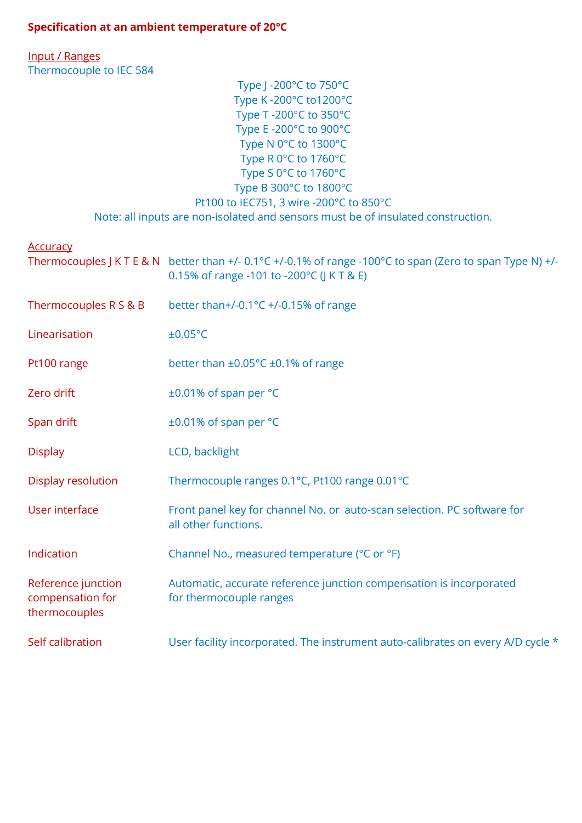## **Specification at an ambient temperature of 20°C**

Input / Ranges Thermocouple to IEC 584

| Type J -200°C to 750°C                                                           |
|----------------------------------------------------------------------------------|
| Type K-200°C to1200°C                                                            |
| Type T-200°C to 350°C                                                            |
| Type E-200°C to 900°C                                                            |
| Type N 0°C to 1300°C                                                             |
| Type R 0°C to 1760°C                                                             |
| Type S 0°C to 1760°C                                                             |
| Type B 300°C to 1800°C                                                           |
| Pt100 to IEC751, 3 wire -200°C to 850°C                                          |
| Note: all inputs are non-isolated and sensors must be of insulated construction. |

**Accuracy** 

|                                                         | Thermocouples J K T E & N better than $+/-0.1\degree$ C $+/-0.1\%$ of range -100 $\degree$ C to span (Zero to span Type N) $+/-$<br>0.15% of range -101 to -200°C (J K T & E) |
|---------------------------------------------------------|-------------------------------------------------------------------------------------------------------------------------------------------------------------------------------|
| Thermocouples R S & B                                   | better than+/-0.1°C +/-0.15% of range                                                                                                                                         |
| Linearisation                                           | ±0.05°C                                                                                                                                                                       |
| Pt100 range                                             | better than $\pm 0.05^{\circ}$ C $\pm 0.1\%$ of range                                                                                                                         |
| Zero drift                                              | ±0.01% of span per °C                                                                                                                                                         |
| Span drift                                              | ±0.01% of span per °C                                                                                                                                                         |
| <b>Display</b>                                          | LCD, backlight                                                                                                                                                                |
| Display resolution                                      | Thermocouple ranges 0.1°C, Pt100 range 0.01°C                                                                                                                                 |
| User interface                                          | Front panel key for channel No. or auto-scan selection. PC software for<br>all other functions.                                                                               |
| Indication                                              | Channel No., measured temperature (°C or °F)                                                                                                                                  |
| Reference junction<br>compensation for<br>thermocouples | Automatic, accurate reference junction compensation is incorporated<br>for thermocouple ranges                                                                                |
| Self calibration                                        | User facility incorporated. The instrument auto-calibrates on every A/D cycle *                                                                                               |